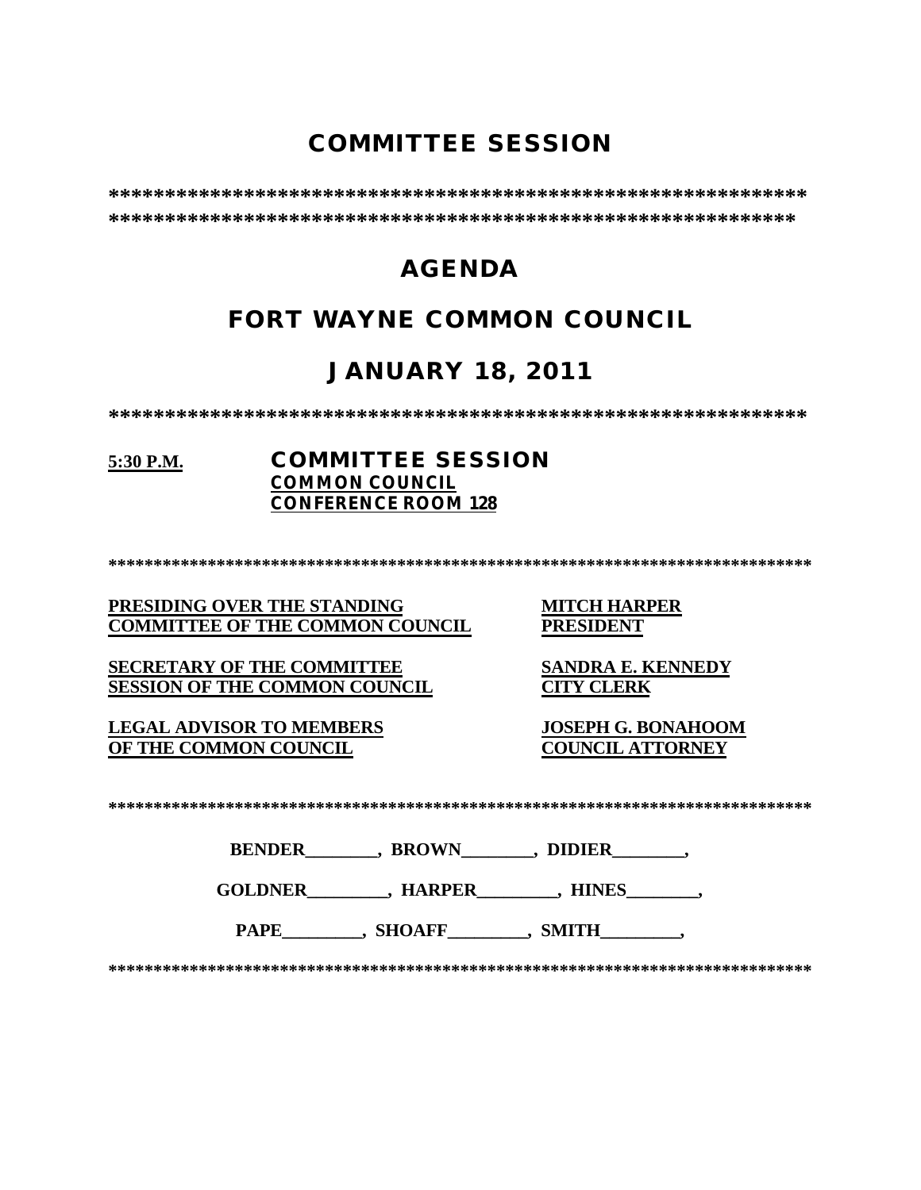# **COMMITTEE SESSION**

# **AGENDA**

# **FORT WAYNE COMMON COUNCIL**

# **JANUARY 18, 2011**

### 5:30 P.M.

### **COMMITTEE SESSION COMMON COUNCIL CONFERENCE ROOM 128**

PRESIDING OVER THE STANDING **COMMITTEE OF THE COMMON COUNCIL** 

**SECRETARY OF THE COMMITTEE SESSION OF THE COMMON COUNCIL** 

**LEGAL ADVISOR TO MEMBERS** OF THE COMMON COUNCIL

**MITCH HARPER PRESIDENT** 

**SANDRA E. KENNEDY CITY CLERK** 

**JOSEPH G. BONAHOOM COUNCIL ATTORNEY** 

| <b>BENDER</b> | <b>BROWN</b> | <b>DIDIER</b> |  |
|---------------|--------------|---------------|--|
|               |              |               |  |

PAPE , SHOAFF , SMITH ,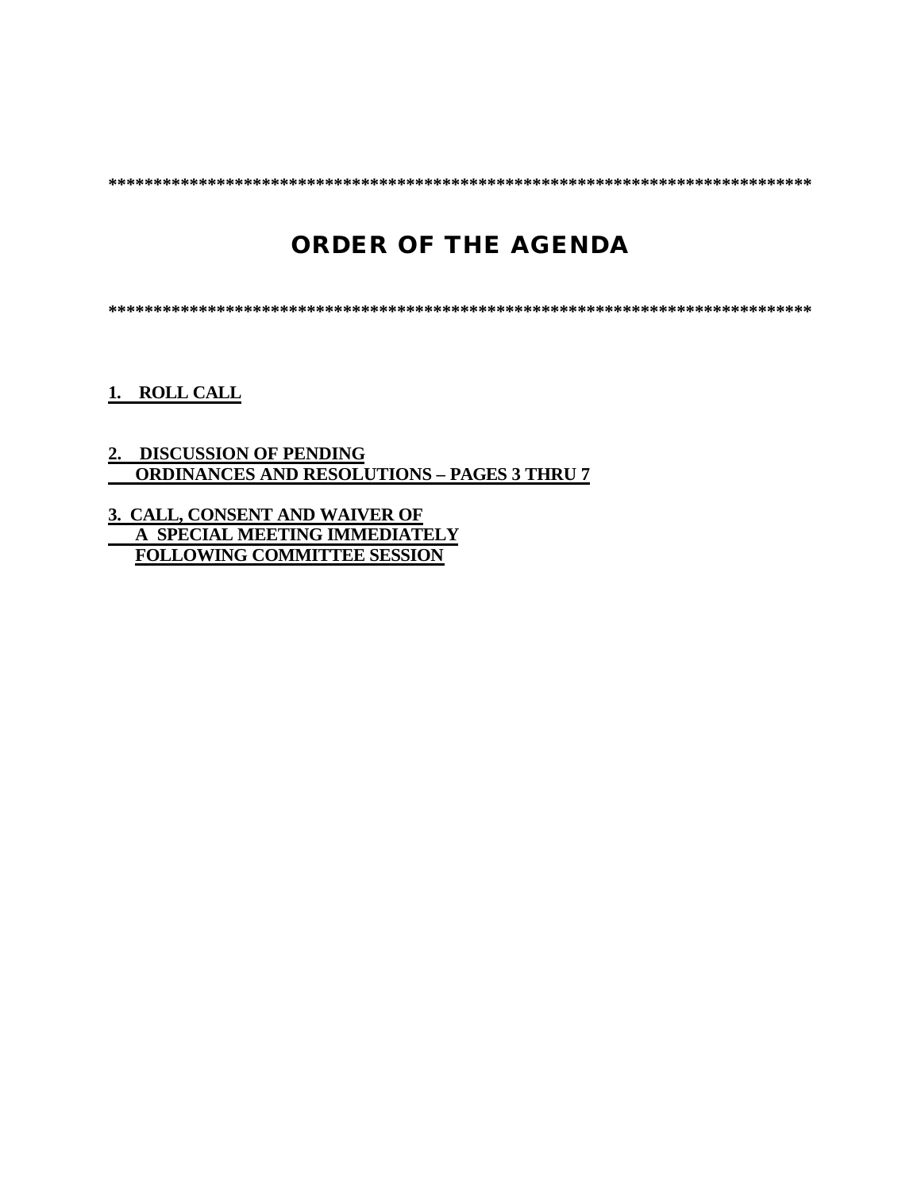**\*\*\*\*\*\*\*\*\*\*\*\*\*\*\*\*\*\*\*\*\*\*\*\*\*\*\*\*\*\*\*\*\*\*\*\*\*\*\*\*\*\*\*\*\*\*\*\*\*\*\*\*\*\*\*\*\*\*\*\*\*\*\*\*\*\*\*\*\*\*\*\*\*\*\*\*\*\***

# **ORDER OF THE AGENDA**

**\*\*\*\*\*\*\*\*\*\*\*\*\*\*\*\*\*\*\*\*\*\*\*\*\*\*\*\*\*\*\*\*\*\*\*\*\*\*\*\*\*\*\*\*\*\*\*\*\*\*\*\*\*\*\*\*\*\*\*\*\*\*\*\*\*\*\*\*\*\*\*\*\*\*\*\*\*\***

**1. ROLL CALL**

### **2. DISCUSSION OF PENDING ORDINANCES AND RESOLUTIONS – PAGES 3 THRU 7**

**3. CALL, CONSENT AND WAIVER OF A SPECIAL MEETING IMMEDIATELY FOLLOWING COMMITTEE SESSION**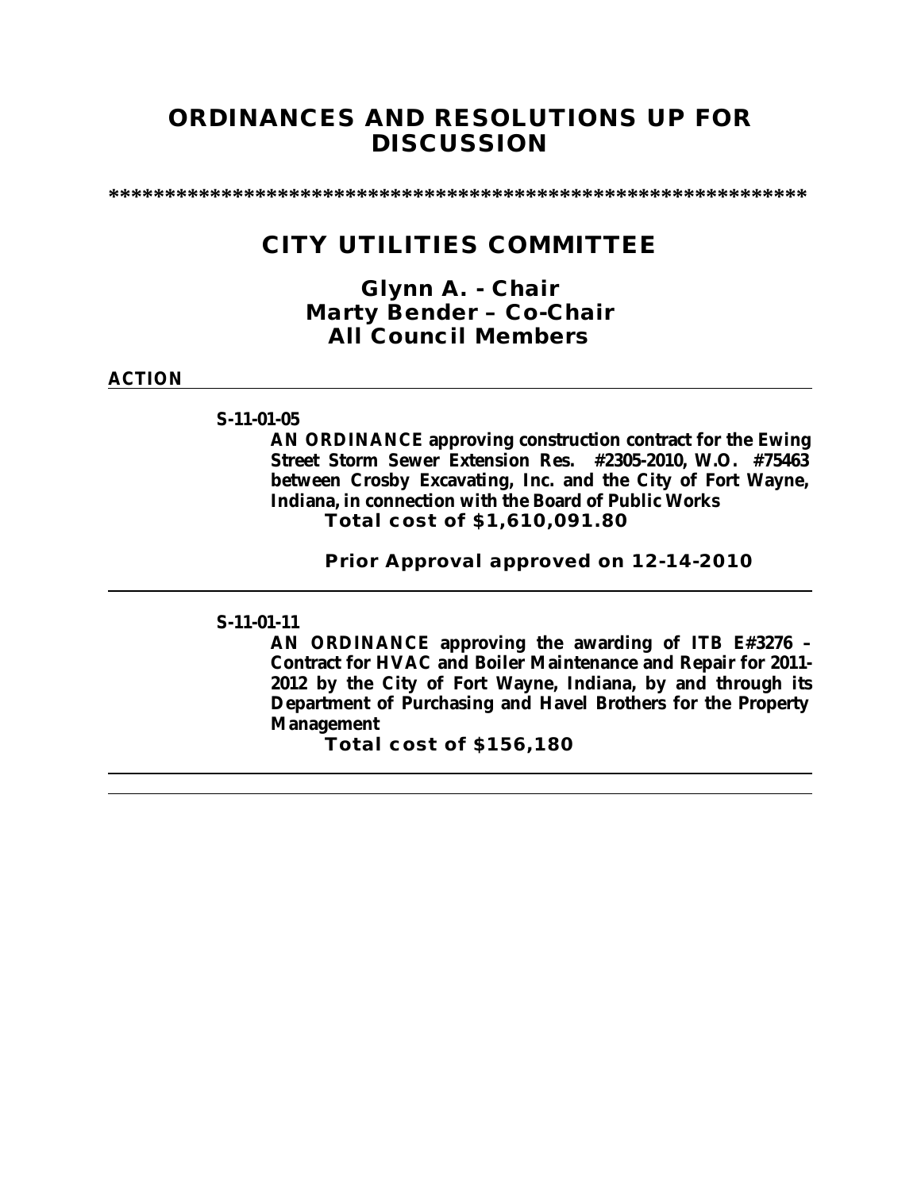## **ORDINANCES AND RESOLUTIONS UP FOR DISCUSSION**

**\*\*\*\*\*\*\*\*\*\*\*\*\*\*\*\*\*\*\*\*\*\*\*\*\*\*\*\*\*\*\*\*\*\*\*\*\*\*\*\*\*\*\*\*\*\*\*\*\*\*\*\*\*\*\*\*\*\*\*\*\*\***

## **CITY UTILITIES COMMITTEE**

*Glynn A. - Chair Marty Bender – Co-Chair All Council Members*

**ACTION**

**S-11-01-05**

**AN ORDINANCE approving construction contract for the Ewing Street Storm Sewer Extension Res. #2305-2010, W.O. #75463 between Crosby Excavating, Inc. and the City of Fort Wayne, Indiana, in connection with the Board of Public Works Total cost of \$1,610,091.80**

**Prior Approval approved on 12-14-2010**

### **S-11-01-11**

**AN ORDINANCE approving the awarding of ITB E#3276 – Contract for HVAC and Boiler Maintenance and Repair for 2011- 2012 by the City of Fort Wayne, Indiana, by and through its Department of Purchasing and Havel Brothers for the Property Management** 

**Total cost of \$156,180**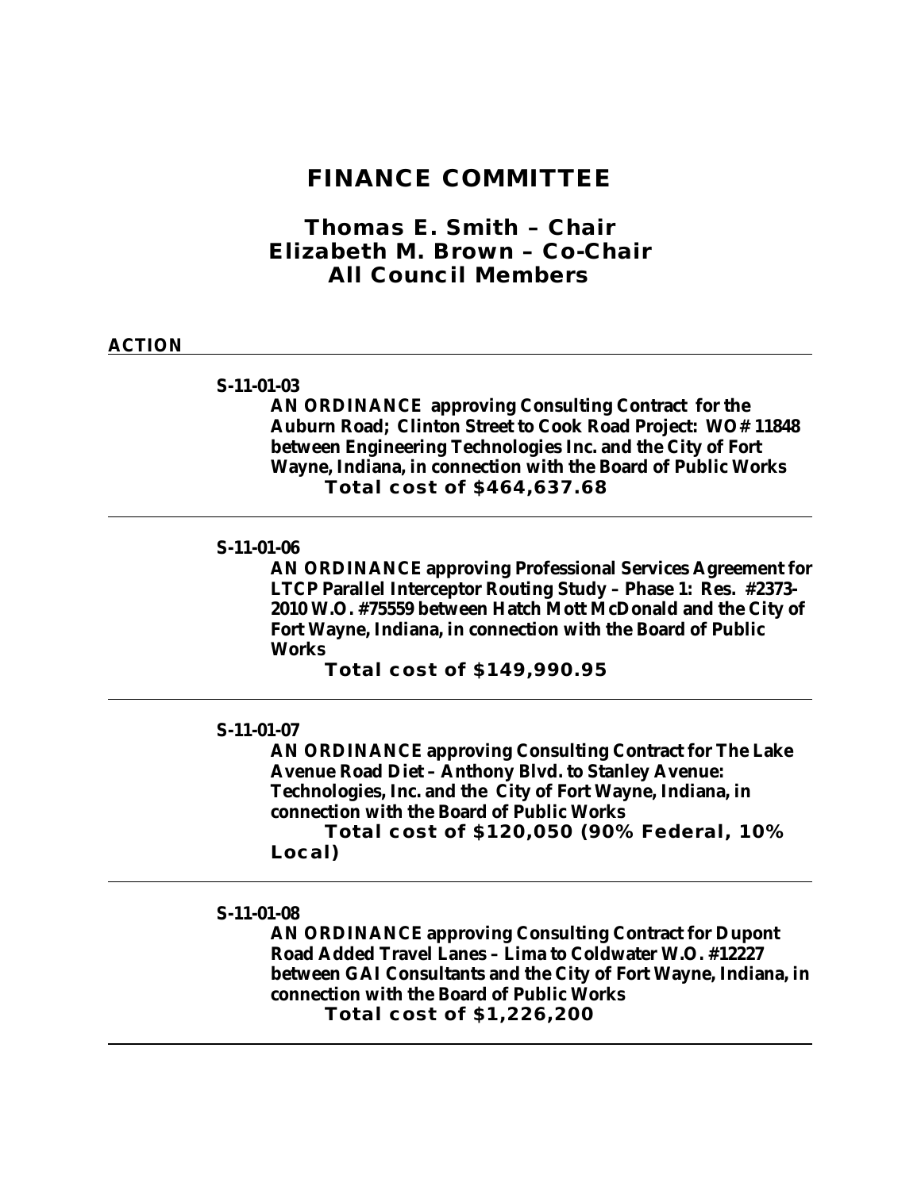## **FINANCE COMMITTEE**

*Thomas E. Smith – Chair Elizabeth M. Brown – Co-Chair All Council Members*

#### **ACTION**

#### **S-11-01-03**

**AN ORDINANCE approving Consulting Contract for the Auburn Road; Clinton Street to Cook Road Project: WO# 11848 between Engineering Technologies Inc. and the City of Fort Wayne, Indiana, in connection with the Board of Public Works Total cost of \$464,637.68**

### **S-11-01-06**

**AN ORDINANCE approving Professional Services Agreement for LTCP Parallel Interceptor Routing Study – Phase 1: Res. #2373- 2010 W.O. #75559 between Hatch Mott McDonald and the City of Fort Wayne, Indiana, in connection with the Board of Public Works**

**Total cost of \$149,990.95**

### **S-11-01-07**

**AN ORDINANCE approving Consulting Contract for The Lake Avenue Road Diet – Anthony Blvd. to Stanley Avenue: Technologies, Inc. and the City of Fort Wayne, Indiana, in connection with the Board of Public Works**

**Total cost of \$120,050 (90% Federal, 10% Local)**

#### **S-11-01-08**

**AN ORDINANCE approving Consulting Contract for Dupont Road Added Travel Lanes – Lima to Coldwater W.O. #12227 between GAI Consultants and the City of Fort Wayne, Indiana, in connection with the Board of Public Works Total cost of \$1,226,200**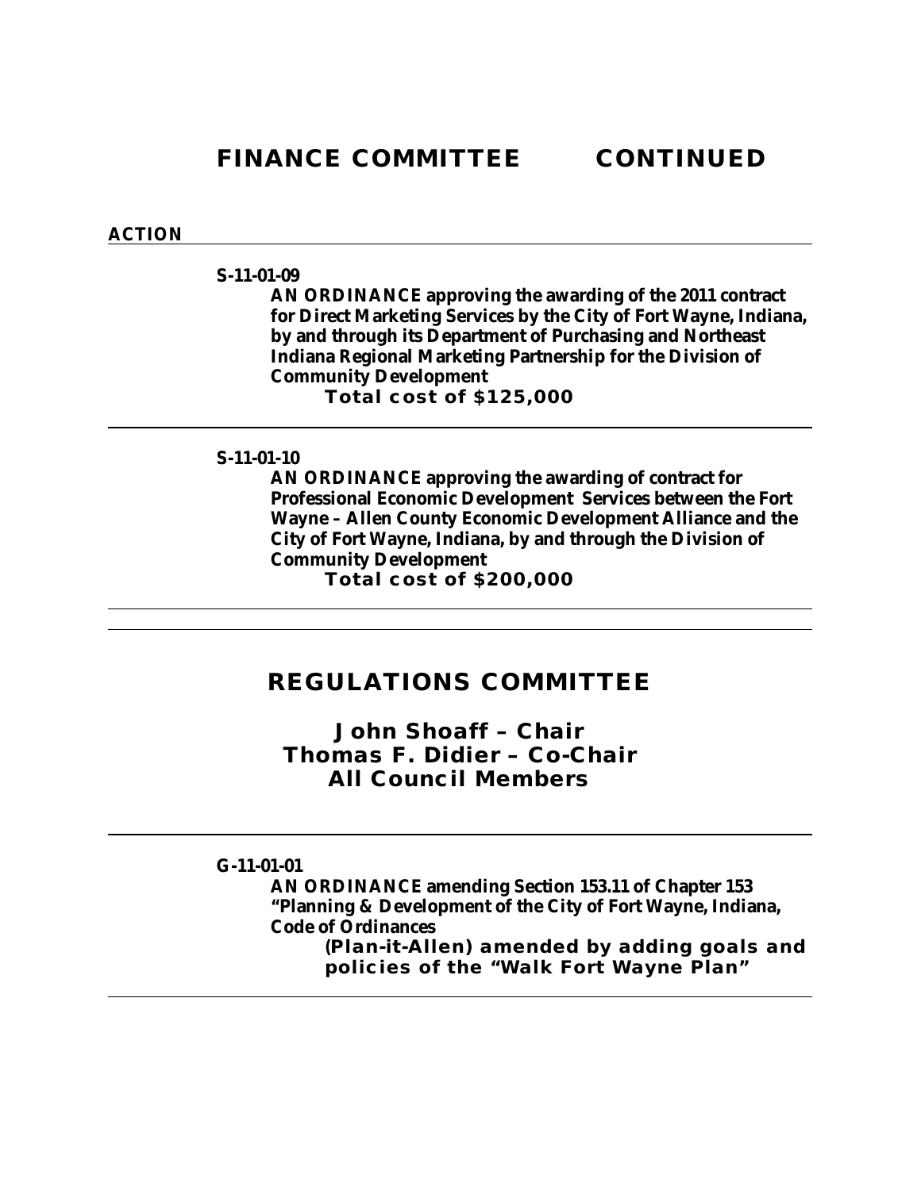**FINANCE COMMITTEE CONTINUED**

### **ACTION**

### **S-11-01-09**

**AN ORDINANCE approving the awarding of the 2011 contract for Direct Marketing Services by the City of Fort Wayne, Indiana, by and through its Department of Purchasing and Northeast Indiana Regional Marketing Partnership for the Division of Community Development Total cost of \$125,000**

### **S-11-01-10**

**AN ORDINANCE approving the awarding of contract for Professional Economic Development Services between the Fort Wayne – Allen County Economic Development Alliance and the City of Fort Wayne, Indiana, by and through the Division of Community Development** 

**Total cost of \$200,000**

## **REGULATIONS COMMITTEE**

*John Shoaff – Chair Thomas F. Didier – Co-Chair All Council Members*

### **G-11-01-01**

**AN ORDINANCE amending Section 153.11 of Chapter 153 "Planning & Development of the City of Fort Wayne, Indiana, Code of Ordinances**

**(Plan-it-Allen) amended by adding goals and policies of the "Walk Fort Wayne Plan"**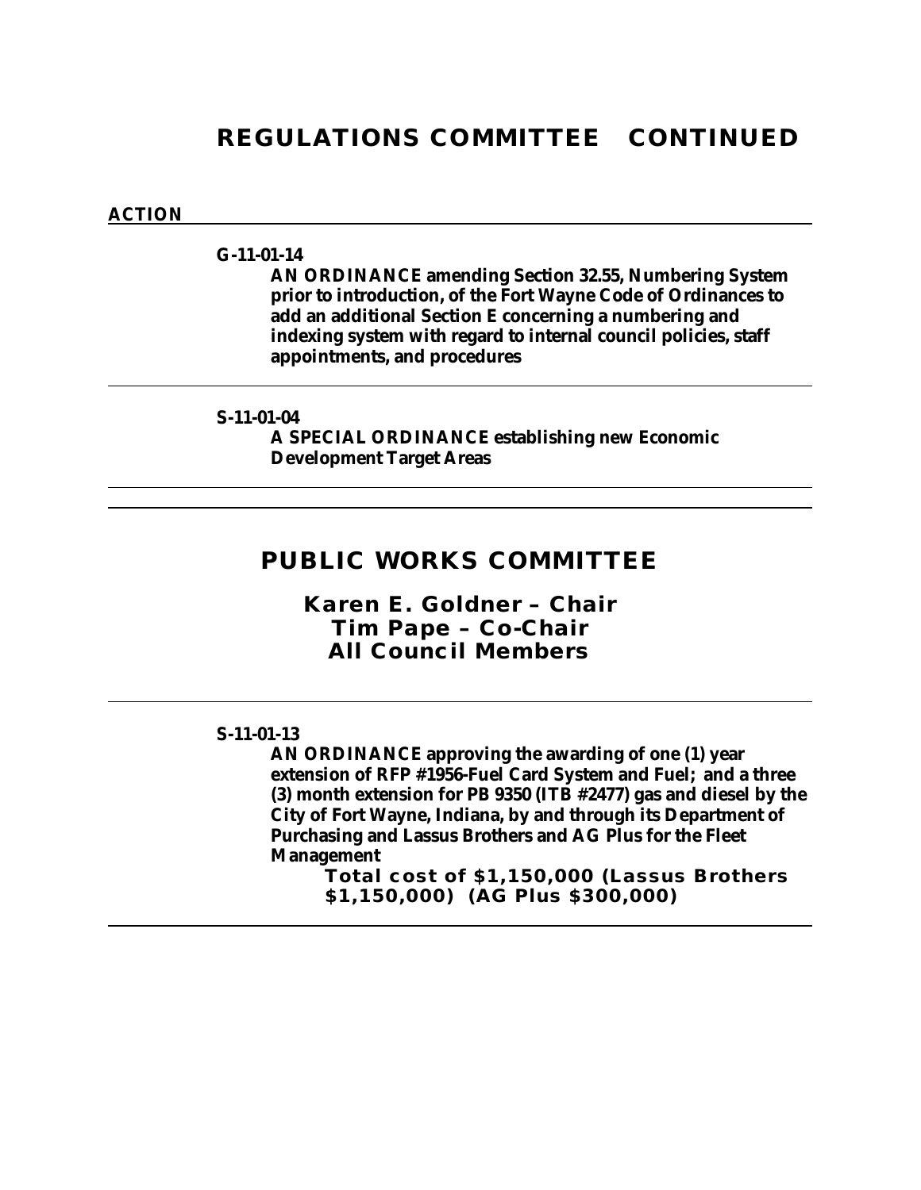## **REGULATIONS COMMITTEE CONTINUED**

### **ACTION**

### **G-11-01-14**

**AN ORDINANCE amending Section 32.55, Numbering System prior to introduction, of the Fort Wayne Code of Ordinances to add an additional Section E concerning a numbering and indexing system with regard to internal council policies, staff appointments, and procedures**

### **S-11-01-04**

**A SPECIAL ORDINANCE establishing new Economic Development Target Areas**

## **PUBLIC WORKS COMMITTEE**

*Karen E. Goldner – Chair Tim Pape – Co-Chair All Council Members*

### **S-11-01-13**

**AN ORDINANCE approving the awarding of one (1) year extension of RFP #1956-Fuel Card System and Fuel; and a three (3) month extension for PB 9350 (ITB #2477) gas and diesel by the City of Fort Wayne, Indiana, by and through its Department of Purchasing and Lassus Brothers and AG Plus for the Fleet Management**

**Total cost of \$1,150,000 (Lassus Brothers \$1,150,000) (AG Plus \$300,000)**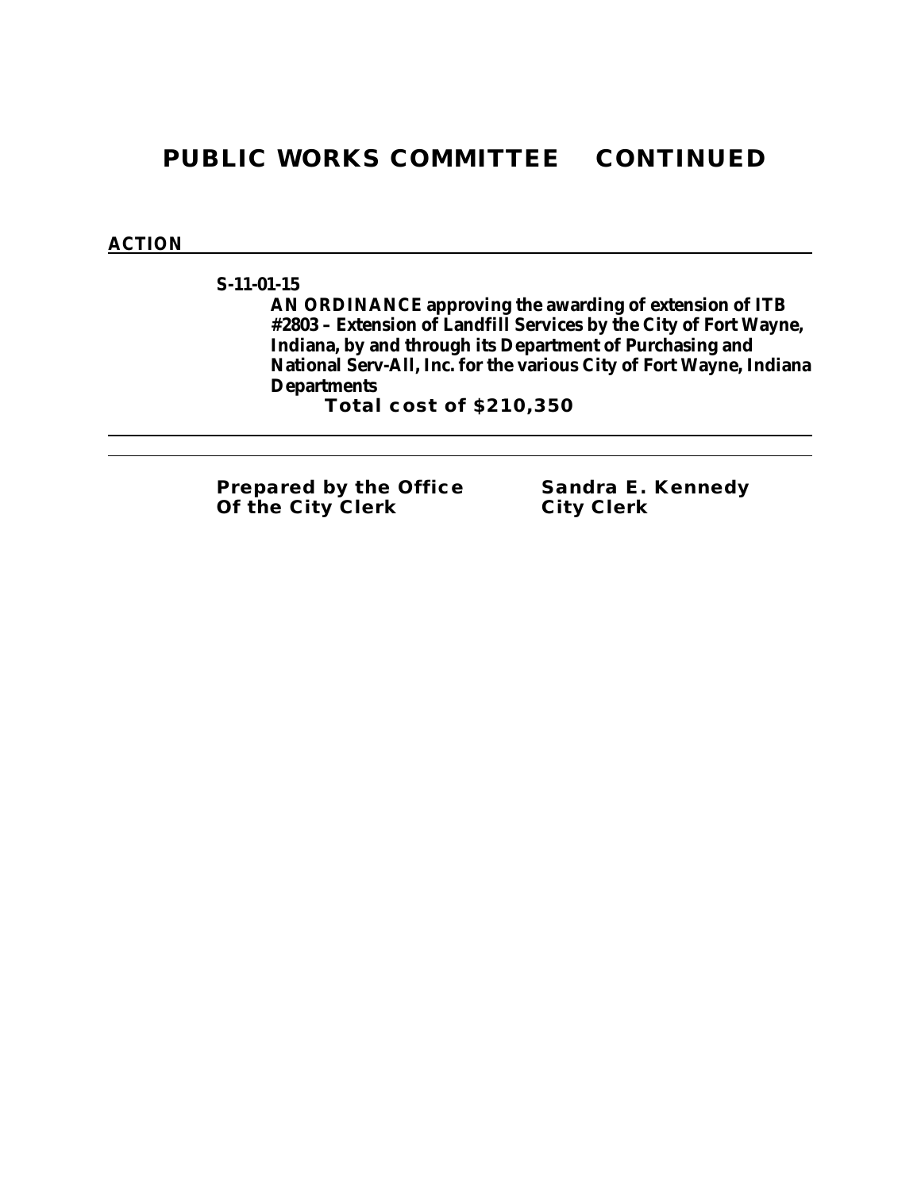# **PUBLIC WORKS COMMITTEE CONTINUED**

### **ACTION**

**S-11-01-15**

**AN ORDINANCE approving the awarding of extension of ITB #2803 – Extension of Landfill Services by the City of Fort Wayne, Indiana, by and through its Department of Purchasing and National Serv-All, Inc. for the various City of Fort Wayne, Indiana Departments**

**Total cost of \$210,350**

**Prepared by the Office Sandra E. Kennedy Of the City Clerk City Clerk**